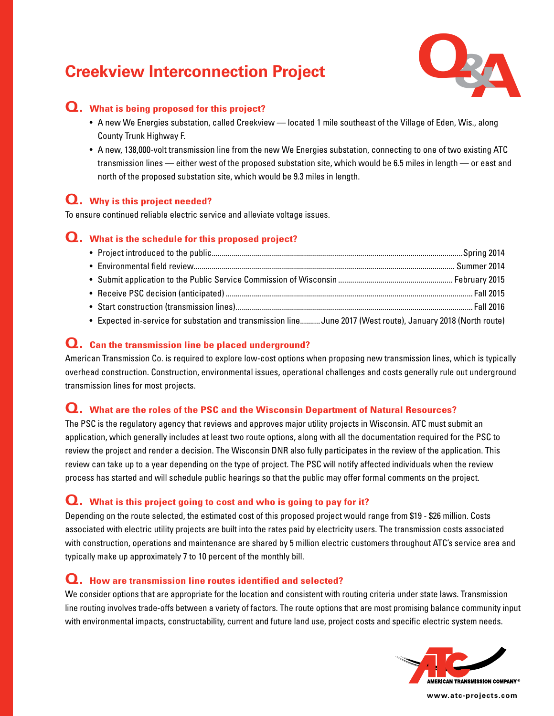

### **Q. What is being proposed for this project?**

- A new We Energies substation, called Creekview located 1 mile southeast of the Village of Eden, Wis., along County Trunk Highway F.
- A new, 138,000-volt transmission line from the new We Energies substation, connecting to one of two existing ATC transmission lines — either west of the proposed substation site, which would be 6.5 miles in length — or east and north of the proposed substation site, which would be 9.3 miles in length.

# **Q. Why is this project needed?**

To ensure continued reliable electric service and alleviate voltage issues.

#### **Q. What is the schedule for this proposed project?**

| • Expected in-service for substation and transmission line June 2017 (West route), January 2018 (North route) |  |
|---------------------------------------------------------------------------------------------------------------|--|

#### **Q. Can the transmission line be placed underground?**

American Transmission Co. is required to explore low-cost options when proposing new transmission lines, which is typically overhead construction. Construction, environmental issues, operational challenges and costs generally rule out underground transmission lines for most projects.

#### **Q. What are the roles of the PSC and the Wisconsin Department of Natural Resources?**

The PSC is the regulatory agency that reviews and approves major utility projects in Wisconsin. ATC must submit an application, which generally includes at least two route options, along with all the documentation required for the PSC to review the project and render a decision. The Wisconsin DNR also fully participates in the review of the application. This review can take up to a year depending on the type of project. The PSC will notify affected individuals when the review process has started and will schedule public hearings so that the public may offer formal comments on the project.

#### **Q. What is this project going to cost and who is going to pay for it?**

Depending on the route selected, the estimated cost of this proposed project would range from \$19 - \$26 million. Costs associated with electric utility projects are built into the rates paid by electricity users. The transmission costs associated with construction, operations and maintenance are shared by 5 million electric customers throughout ATC's service area and typically make up approximately 7 to 10 percent of the monthly bill.

#### **Q. How are transmission line routes identified and selected?**

We consider options that are appropriate for the location and consistent with routing criteria under state laws. Transmission line routing involves trade-offs between a variety of factors. The route options that are most promising balance community input with environmental impacts, constructability, current and future land use, project costs and specific electric system needs.



**www.atc-projects.com**